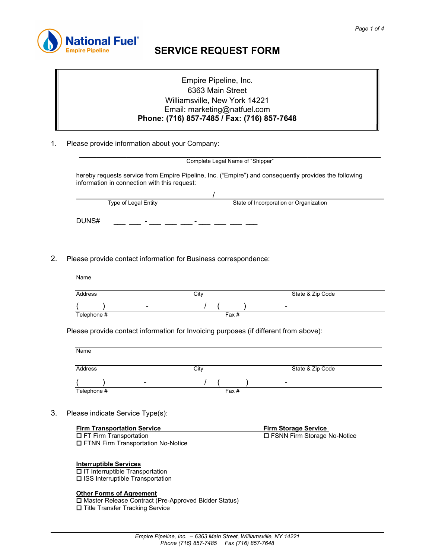

# SERVICE REQUEST FORM

## Empire Pipeline, Inc. 6363 Main Street Williamsville, New York 14221 Email: marketing@natfuel.com Phone: (716) 857-7485 / Fax: (716) 857-7648

1. Please provide information about your Company:

|                                              | Complete Legal Name of "Shipper"                                                                      |
|----------------------------------------------|-------------------------------------------------------------------------------------------------------|
| information in connection with this request: | hereby requests service from Empire Pipeline, Inc. ("Empire") and consequently provides the following |
|                                              |                                                                                                       |
| Type of Legal Entity                         | State of Incorporation or Organization                                                                |
| DUNS#                                        |                                                                                                       |

2. Please provide contact information for Business correspondence:

| Name        |       |                  |
|-------------|-------|------------------|
|             |       |                  |
| Address     | City  | State & Zip Code |
| ٠           |       |                  |
| Telephone # | Fax # |                  |

Please provide contact information for Invoicing purposes (if different from above):

| Name        |       |                          |
|-------------|-------|--------------------------|
| Address     | City  | State & Zip Code         |
|             |       | $\overline{\phantom{a}}$ |
| Telephone # | Fax # |                          |

3. Please indicate Service Type(s):

| <b>Firm Transportation Service</b> | <b>Firm Storage Service</b>   |
|------------------------------------|-------------------------------|
| $\Box$ FT Firm Transportation      | □ FSNN Firm Storage No-Notice |
| $\blacksquare$                     |                               |

**D** FTNN Firm Transportation No-Notice

#### Interruptible Services

ı

**D** IT Interruptible Transportation **□ ISS Interruptible Transportation** 

#### Other Forms of Agreement

 Master Release Contract (Pre-Approved Bidder Status) **□ Title Transfer Tracking Service**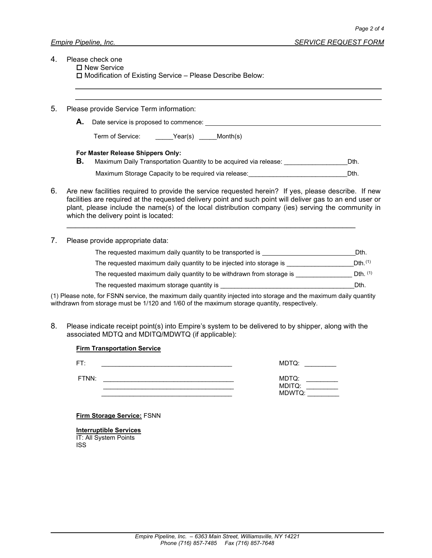- 4. Please check one
	- $\square$  New Service

 $\square$  Modification of Existing Service – Please Describe Below:

5. Please provide Service Term information:

**A.** Date service is proposed to commence:

| Term of Service: | Year(s) | Month(s) |
|------------------|---------|----------|
|------------------|---------|----------|

#### For Master Release Shippers Only:

- **B.** Maximum Daily Transportation Quantity to be acquired via release:  $\Box$  Dth.
	- Maximum Storage Capacity to be required via release: example and the state of the Dth.
- 6. Are new facilities required to provide the service requested herein? If yes, please describe. If new facilities are required at the requested delivery point and such point will deliver gas to an end user or plant, please include the name(s) of the local distribution company (ies) serving the community in which the delivery point is located:

 $\mathcal{L}=\frac{1}{2}$  , where  $\mathcal{L}=\frac{1}{2}$  , where  $\mathcal{L}=\frac{1}{2}$  , where  $\mathcal{L}=\frac{1}{2}$  , where  $\mathcal{L}=\frac{1}{2}$ 

7. Please provide appropriate data:

| Dth.        |
|-------------|
| Dth(1)      |
| $Dth$ $(1)$ |
| Dth.        |
|             |

(1) Please note, for FSNN service, the maximum daily quantity injected into storage and the maximum daily quantity withdrawn from storage must be 1/120 and 1/60 of the maximum storage quantity, respectively.

8. Please indicate receipt point(s) into Empire's system to be delivered to by shipper, along with the associated MDTQ and MDITQ/MDWTQ (if applicable):

### Firm Transportation Service

| FT:   | MDTQ:                     |
|-------|---------------------------|
| FTNN: | MDTQ:<br>MDITQ:<br>MDWTQ: |

Firm Storage Service: FSNN

Interruptible Services IT: All System Points ISS

ı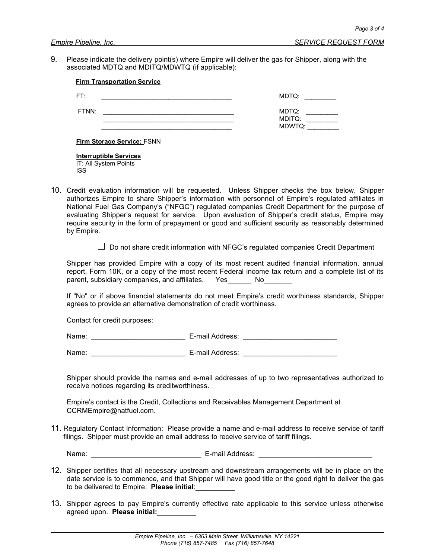9. Please indicate the delivery point(s) where Empire will deliver the gas for Shipper, along with the associated MDTQ and MDITQ/MDWTQ (if applicable):

| FT:   | MDTQ:  |
|-------|--------|
| FTNN: | MDTQ:  |
|       | MDITQ: |
|       | MDWTQ: |

Firm Storage Service: FSNN

Interruptible Services IT: All System Points ISS

10. Credit evaluation information will be requested. Unless Shipper checks the box below, Shipper authorizes Empire to share Shipper's information with personnel of Empire's regulated affiliates in National Fuel Gas Company's ("NFGC") regulated companies Credit Department for the purpose of evaluating Shipper's request for service. Upon evaluation of Shipper's credit status, Empire may require security in the form of prepayment or good and sufficient security as reasonably determined by Empire.

 $\Box$  Do not share credit information with NFGC's regulated companies Credit Department

Shipper has provided Empire with a copy of its most recent audited financial information, annual report, Form 10K, or a copy of the most recent Federal income tax return and a complete list of its parent, subsidiary companies, and affiliates. Yes No

If "No" or if above financial statements do not meet Empire's credit worthiness standards, Shipper agrees to provide an alternative demonstration of credit worthiness.

Contact for credit purposes:

Name: \_\_\_\_\_\_\_\_\_\_\_\_\_\_\_\_\_\_\_\_\_\_\_\_ E-mail Address: \_\_\_\_\_\_\_\_\_\_\_\_\_\_\_\_\_\_\_\_\_\_\_\_

Name: \_\_\_\_\_\_\_\_\_\_\_\_\_\_\_\_\_\_\_\_\_\_\_\_ E-mail Address: \_\_\_\_\_\_\_\_\_\_\_\_\_\_\_\_\_\_\_\_\_\_\_\_

Shipper should provide the names and e-mail addresses of up to two representatives authorized to receive notices regarding its creditworthiness.

Empire's contact is the Credit, Collections and Receivables Management Department at CCRMEmpire@natfuel.com.

11. Regulatory Contact Information: Please provide a name and e-mail address to receive service of tariff filings. Shipper must provide an email address to receive service of tariff filings.

ı

Name: et al. et al. et al. et al. et al. et al. et al. et al. et al. et al. et al. et al. et al. et al. et al.

- 12. Shipper certifies that all necessary upstream and downstream arrangements will be in place on the date service is to commence, and that Shipper will have good title or the good right to deliver the gas to be delivered to Empire. Please initial:
- 13. Shipper agrees to pay Empire's currently effective rate applicable to this service unless otherwise agreed upon. Please initial: